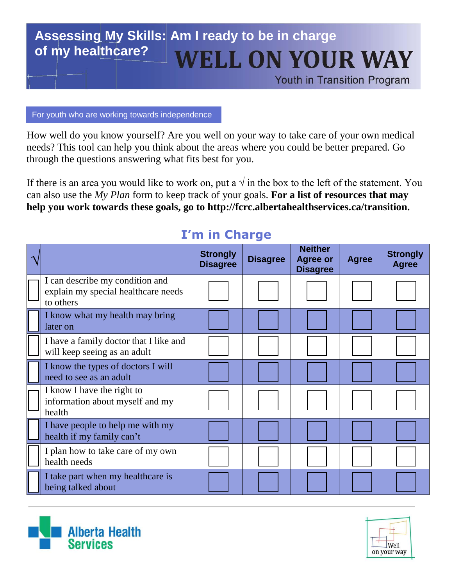## **Assessing My Skills: Am I ready to be in charge of my healthcare?WELL ON YOUR WAY**

Youth in Transition Program

For youth who are working towards independence

How well do you know yourself? Are you well on your way to take care of your own medical needs? This tool can help you think about the areas where you could be better prepared. Go through the questions answering what fits best for you.

If there is an area you would like to work on, put a  $\sqrt{ }$  in the box to the left of the statement. You can also use the *My Plan* form to keep track of your goals. **For a list of resources that may help you work towards these goals, go to http://fcrc.albertahealthservices.ca/transition.**

|                                                                                     | <b>Strongly</b><br><b>Disagree</b> | <b>Disagree</b> | <b>Neither</b><br><b>Agree or</b><br><b>Disagree</b> | <b>Agree</b> | <b>Strongly</b><br><b>Agree</b> |
|-------------------------------------------------------------------------------------|------------------------------------|-----------------|------------------------------------------------------|--------------|---------------------------------|
| I can describe my condition and<br>explain my special healthcare needs<br>to others |                                    |                 |                                                      |              |                                 |
| I know what my health may bring<br>later on                                         |                                    |                 |                                                      |              |                                 |
| I have a family doctor that I like and<br>will keep seeing as an adult              |                                    |                 |                                                      |              |                                 |
| I know the types of doctors I will<br>need to see as an adult                       |                                    |                 |                                                      |              |                                 |
| I know I have the right to<br>information about myself and my<br>health             |                                    |                 |                                                      |              |                                 |
| I have people to help me with my<br>health if my family can't                       |                                    |                 |                                                      |              |                                 |
| I plan how to take care of my own<br>health needs                                   |                                    |                 |                                                      |              |                                 |
| I take part when my healthcare is<br>being talked about                             |                                    |                 |                                                      |              |                                 |

### **I'm in Charge**



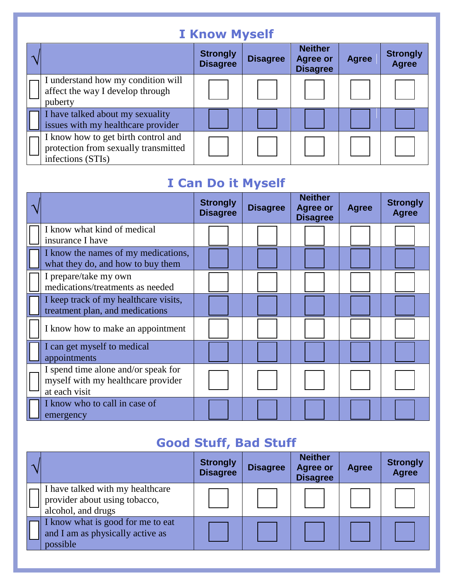# **I Know Myself**

|                                                                                                  | <b>Strongly</b><br><b>Disagree</b> | <b>Disagree</b> | <b>Neither</b><br><b>Agree or</b><br><b>Disagree</b> | <b>Agree</b> | <b>Strongly</b><br><b>Agree</b> |
|--------------------------------------------------------------------------------------------------|------------------------------------|-----------------|------------------------------------------------------|--------------|---------------------------------|
| I understand how my condition will<br>affect the way I develop through<br>puberty                |                                    |                 |                                                      |              |                                 |
| I have talked about my sexuality<br>issues with my healthcare provider                           |                                    |                 |                                                      |              |                                 |
| I know how to get birth control and<br>protection from sexually transmitted<br>infections (STIs) |                                    |                 |                                                      |              |                                 |

## **I Can Do it Myself**

|                                                                                            | <b>Strongly</b><br><b>Disagree</b> | <b>Disagree</b> | <b>Neither</b><br><b>Agree or</b><br><b>Disagree</b> | <b>Agree</b> | <b>Strongly</b><br><b>Agree</b> |
|--------------------------------------------------------------------------------------------|------------------------------------|-----------------|------------------------------------------------------|--------------|---------------------------------|
| I know what kind of medical<br>insurance I have                                            |                                    |                 |                                                      |              |                                 |
| I know the names of my medications,<br>what they do, and how to buy them                   |                                    |                 |                                                      |              |                                 |
| I prepare/take my own<br>medications/treatments as needed                                  |                                    |                 |                                                      |              |                                 |
| I keep track of my healthcare visits,<br>treatment plan, and medications                   |                                    |                 |                                                      |              |                                 |
| I know how to make an appointment                                                          |                                    |                 |                                                      |              |                                 |
| I can get myself to medical<br>appointments                                                |                                    |                 |                                                      |              |                                 |
| I spend time alone and/or speak for<br>myself with my healthcare provider<br>at each visit |                                    |                 |                                                      |              |                                 |
| I know who to call in case of<br>emergency                                                 |                                    |                 |                                                      |              |                                 |

# **Good Stuff, Bad Stuff**

|                                                                                         | <b>Strongly</b><br><b>Disagree</b> | <b>Disagree</b> | <b>Neither</b><br><b>Agree or</b><br><b>Disagree</b> | <b>Agree</b> | <b>Strongly</b><br><b>Agree</b> |
|-----------------------------------------------------------------------------------------|------------------------------------|-----------------|------------------------------------------------------|--------------|---------------------------------|
| I have talked with my healthcare<br>provider about using tobacco,<br>alcohol, and drugs |                                    |                 |                                                      |              |                                 |
| I know what is good for me to eat<br>and I am as physically active as<br>possible       |                                    |                 |                                                      |              |                                 |